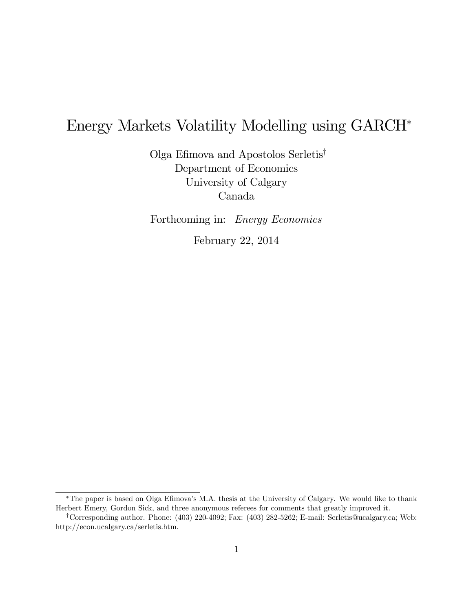# Energy Markets Volatility Modelling using GARCH

Olga Efimova and Apostolos Serletis<sup>†</sup> Department of Economics University of Calgary Canada

Forthcoming in: Energy Economics

February 22, 2014

<sup>\*</sup>The paper is based on Olga Efimova's M.A. thesis at the University of Calgary. We would like to thank Herbert Emery, Gordon Sick, and three anonymous referees for comments that greatly improved it.

<sup>y</sup>Corresponding author. Phone: (403) 220-4092; Fax: (403) 282-5262; E-mail: Serletis@ucalgary.ca; Web: http://econ.ucalgary.ca/serletis.htm.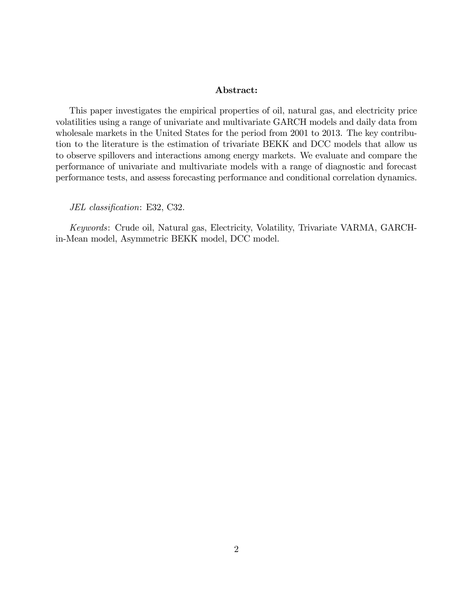#### Abstract:

This paper investigates the empirical properties of oil, natural gas, and electricity price volatilities using a range of univariate and multivariate GARCH models and daily data from wholesale markets in the United States for the period from 2001 to 2013. The key contribution to the literature is the estimation of trivariate BEKK and DCC models that allow us to observe spillovers and interactions among energy markets. We evaluate and compare the performance of univariate and multivariate models with a range of diagnostic and forecast performance tests, and assess forecasting performance and conditional correlation dynamics.

JEL classification: E32, C32.

Keywords: Crude oil, Natural gas, Electricity, Volatility, Trivariate VARMA, GARCHin-Mean model, Asymmetric BEKK model, DCC model.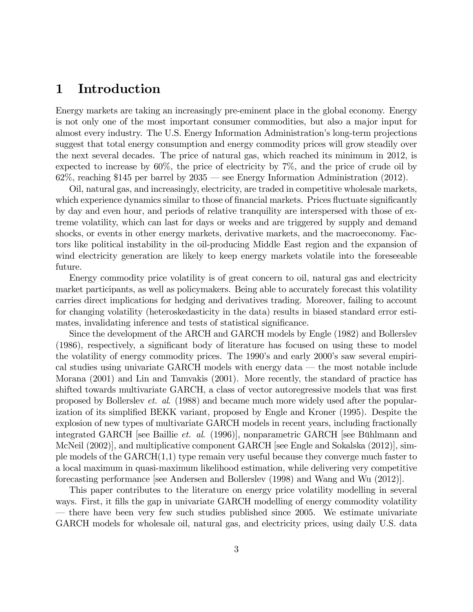# 1 Introduction

Energy markets are taking an increasingly pre-eminent place in the global economy. Energy is not only one of the most important consumer commodities, but also a major input for almost every industry. The U.S. Energy Information Administrationís long-term projections suggest that total energy consumption and energy commodity prices will grow steadily over the next several decades. The price of natural gas, which reached its minimum in 2012, is expected to increase by 60%, the price of electricity by 7%, and the price of crude oil by 62%, reaching \$145 per barrel by  $2035$  — see Energy Information Administration (2012).

Oil, natural gas, and increasingly, electricity, are traded in competitive wholesale markets, which experience dynamics similar to those of financial markets. Prices fluctuate significantly by day and even hour, and periods of relative tranquility are interspersed with those of extreme volatility, which can last for days or weeks and are triggered by supply and demand shocks, or events in other energy markets, derivative markets, and the macroeconomy. Factors like political instability in the oil-producing Middle East region and the expansion of wind electricity generation are likely to keep energy markets volatile into the foreseeable future.

Energy commodity price volatility is of great concern to oil, natural gas and electricity market participants, as well as policymakers. Being able to accurately forecast this volatility carries direct implications for hedging and derivatives trading. Moreover, failing to account for changing volatility (heteroskedasticity in the data) results in biased standard error estimates, invalidating inference and tests of statistical significance.

Since the development of the ARCH and GARCH models by Engle (1982) and Bollerslev (1986), respectively, a significant body of literature has focused on using these to model the volatility of energy commodity prices. The 1990's and early 2000's saw several empirical studies using univariate GARCH models with energy data  $-$  the most notable include Morana (2001) and Lin and Tamvakis (2001). More recently, the standard of practice has shifted towards multivariate GARCH, a class of vector autoregressive models that was first proposed by Bollerslev et. al. (1988) and became much more widely used after the popularization of its simplified BEKK variant, proposed by Engle and Kroner (1995). Despite the explosion of new types of multivariate GARCH models in recent years, including fractionally integrated GARCH [see Baillie *et. al.* (1996)], nonparametric GARCH [see Bühlmann and McNeil (2002), and multiplicative component GARCH [see Engle and Sokalska (2012)], simple models of the GARCH(1,1) type remain very useful because they converge much faster to a local maximum in quasi-maximum likelihood estimation, while delivering very competitive forecasting performance [see Andersen and Bollerslev (1998) and Wang and Wu (2012)].

This paper contributes to the literature on energy price volatility modelling in several ways. First, it fills the gap in univariate GARCH modelling of energy commodity volatility – there have been very few such studies published since 2005. We estimate univariate GARCH models for wholesale oil, natural gas, and electricity prices, using daily U.S. data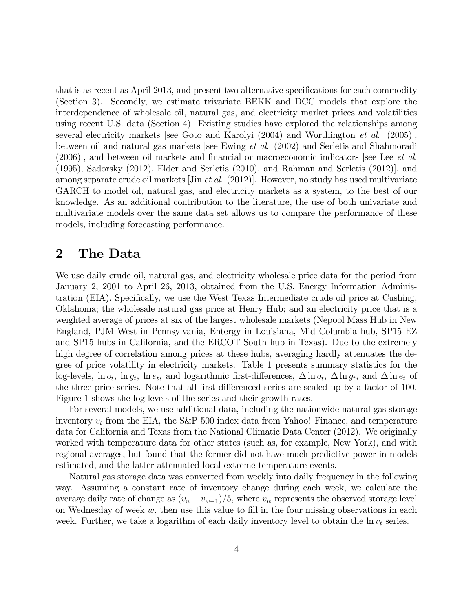that is as recent as April 2013, and present two alternative specifications for each commodity (Section 3). Secondly, we estimate trivariate BEKK and DCC models that explore the interdependence of wholesale oil, natural gas, and electricity market prices and volatilities using recent U.S. data (Section 4). Existing studies have explored the relationships among several electricity markets [see Goto and Karolyi (2004) and Worthington *et al.* (2005)], between oil and natural gas markets [see Ewing et al. (2002) and Serletis and Shahmoradi  $(2006)$ , and between oil markets and financial or macroeconomic indicators [see Lee *et al.*) (1995), Sadorsky (2012), Elder and Serletis (2010), and Rahman and Serletis (2012)], and among separate crude oil markets  $\vert$ Jin *et al.* (2012). However, no study has used multivariate GARCH to model oil, natural gas, and electricity markets as a system, to the best of our knowledge. As an additional contribution to the literature, the use of both univariate and multivariate models over the same data set allows us to compare the performance of these models, including forecasting performance.

# 2 The Data

We use daily crude oil, natural gas, and electricity wholesale price data for the period from January 2, 2001 to April 26, 2013, obtained from the U.S. Energy Information Administration (EIA). Specifically, we use the West Texas Intermediate crude oil price at Cushing, Oklahoma; the wholesale natural gas price at Henry Hub; and an electricity price that is a weighted average of prices at six of the largest wholesale markets (Nepool Mass Hub in New England, PJM West in Pennsylvania, Entergy in Louisiana, Mid Columbia hub, SP15 EZ and SP15 hubs in California, and the ERCOT South hub in Texas). Due to the extremely high degree of correlation among prices at these hubs, averaging hardly attenuates the degree of price volatility in electricity markets. Table 1 presents summary statistics for the log-levels,  $\ln o_t$ ,  $\ln g_t$ ,  $\ln e_t$ , and logarithmic first-differences,  $\Delta \ln o_t$ ,  $\Delta \ln g_t$ , and  $\Delta \ln e_t$  of the three price series. Note that all first-differenced series are scaled up by a factor of 100. Figure 1 shows the log levels of the series and their growth rates.

For several models, we use additional data, including the nationwide natural gas storage inventory  $v_t$  from the EIA, the S&P 500 index data from Yahoo! Finance, and temperature data for California and Texas from the National Climatic Data Center (2012). We originally worked with temperature data for other states (such as, for example, New York), and with regional averages, but found that the former did not have much predictive power in models estimated, and the latter attenuated local extreme temperature events.

Natural gas storage data was converted from weekly into daily frequency in the following way. Assuming a constant rate of inventory change during each week, we calculate the average daily rate of change as  $(v_w - v_{w-1})/5$ , where  $v_w$  represents the observed storage level on Wednesday of week  $w$ , then use this value to fill in the four missing observations in each week. Further, we take a logarithm of each daily inventory level to obtain the  $\ln v_t$  series.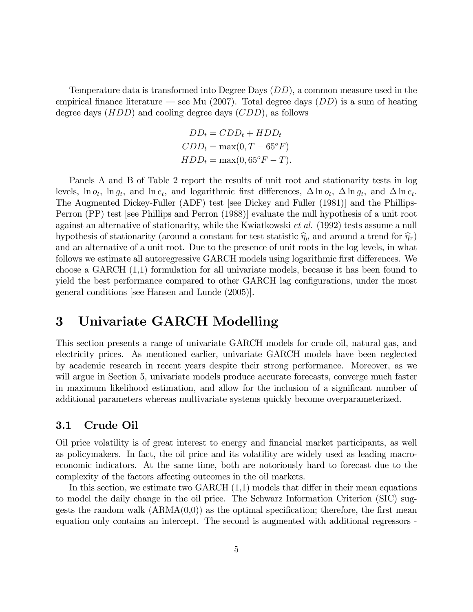Temperature data is transformed into Degree Days  $(DD)$ , a common measure used in the empirical finance literature – see Mu (2007). Total degree days  $(DD)$  is a sum of heating degree days  $(HDD)$  and cooling degree days  $(CDD)$ , as follows

> $DD_t = CDD_t + HDD_t$  $CDD_t = \max(0, T - 65^o F)$  $HDD_t = \max(0, 65^oF - T).$

Panels A and B of Table 2 report the results of unit root and stationarity tests in log levels,  $\ln o_t$ ,  $\ln g_t$ , and  $\ln e_t$ , and logarithmic first differences,  $\Delta \ln o_t$ ,  $\Delta \ln g_t$ , and  $\Delta \ln e_t$ . The Augmented Dickey-Fuller (ADF) test [see Dickey and Fuller (1981)] and the Phillips-Perron (PP) test [see Phillips and Perron (1988)] evaluate the null hypothesis of a unit root against an alternative of stationarity, while the Kwiatkowski *et al.* (1992) tests assume a null hypothesis of stationarity (around a constant for test statistic  $\hat{\eta}_{\mu}$  and around a trend for  $\hat{\eta}_{\tau}$ ) and an alternative of a unit root. Due to the presence of unit roots in the log levels, in what follows we estimate all autoregressive GARCH models using logarithmic first differences. We choose a GARCH (1,1) formulation for all univariate models, because it has been found to yield the best performance compared to other GARCH lag configurations, under the most general conditions [see Hansen and Lunde (2005)].

# 3 Univariate GARCH Modelling

This section presents a range of univariate GARCH models for crude oil, natural gas, and electricity prices. As mentioned earlier, univariate GARCH models have been neglected by academic research in recent years despite their strong performance. Moreover, as we will argue in Section 5, univariate models produce accurate forecasts, converge much faster in maximum likelihood estimation, and allow for the inclusion of a significant number of additional parameters whereas multivariate systems quickly become overparameterized.

### 3.1 Crude Oil

Oil price volatility is of great interest to energy and Önancial market participants, as well as policymakers. In fact, the oil price and its volatility are widely used as leading macroeconomic indicators. At the same time, both are notoriously hard to forecast due to the complexity of the factors affecting outcomes in the oil markets.

In this section, we estimate two  $GARCH(1,1)$  models that differ in their mean equations to model the daily change in the oil price. The Schwarz Information Criterion (SIC) suggests the random walk  $(ARMA(0,0))$  as the optimal specification; therefore, the first mean equation only contains an intercept. The second is augmented with additional regressors -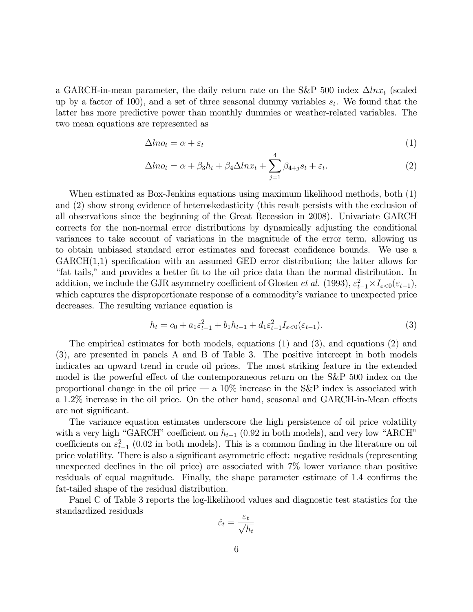a GARCH-in-mean parameter, the daily return rate on the S&P 500 index  $\Delta lnx_t$  (scaled up by a factor of 100), and a set of three seasonal dummy variables  $s_t$ . We found that the latter has more predictive power than monthly dummies or weather-related variables. The two mean equations are represented as

$$
\Delta l n o_t = \alpha + \varepsilon_t \tag{1}
$$

$$
\Delta l_{0t} = \alpha + \beta_3 h_t + \beta_4 \Delta l_{0t} + \sum_{j=1}^4 \beta_{4+j} s_t + \varepsilon_t.
$$
\n(2)

When estimated as Box-Jenkins equations using maximum likelihood methods, both (1) and (2) show strong evidence of heteroskedasticity (this result persists with the exclusion of all observations since the beginning of the Great Recession in 2008). Univariate GARCH corrects for the non-normal error distributions by dynamically adjusting the conditional variances to take account of variations in the magnitude of the error term, allowing us to obtain unbiased standard error estimates and forecast confidence bounds. We use a  $GARCH(1,1)$  specification with an assumed GED error distribution; the latter allows for ìfat tails,î and provides a better Öt to the oil price data than the normal distribution. In addition, we include the GJR asymmetry coefficient of Glosten *et al.* (1993),  $\varepsilon_{t-1}^2 \times I_{\varepsilon < 0}(\varepsilon_{t-1})$ , which captures the disproportionate response of a commodity's variance to unexpected price decreases. The resulting variance equation is

$$
h_t = c_0 + a_1 \varepsilon_{t-1}^2 + b_1 h_{t-1} + d_1 \varepsilon_{t-1}^2 I_{\varepsilon < 0}(\varepsilon_{t-1}).\tag{3}
$$

The empirical estimates for both models, equations (1) and (3), and equations (2) and (3), are presented in panels A and B of Table 3. The positive intercept in both models indicates an upward trend in crude oil prices. The most striking feature in the extended model is the powerful effect of the contemporaneous return on the S&P 500 index on the proportional change in the oil price  $\sim a$  10% increase in the S&P index is associated with a  $1.2\%$  increase in the oil price. On the other hand, seasonal and GARCH-in-Mean effects are not significant.

The variance equation estimates underscore the high persistence of oil price volatility with a very high "GARCH" coefficient on  $h_{t-1}$  (0.92 in both models), and very low "ARCH" coefficients on  $\varepsilon_{t-1}^2$  (0.02 in both models). This is a common finding in the literature on oil price volatility. There is also a significant asymmetric effect: negative residuals (representing unexpected declines in the oil price) are associated with 7% lower variance than positive residuals of equal magnitude. Finally, the shape parameter estimate of 1.4 confirms the fat-tailed shape of the residual distribution.

Panel C of Table 3 reports the log-likelihood values and diagnostic test statistics for the standardized residuals

$$
\hat{\varepsilon}_t = \frac{\varepsilon_t}{\sqrt{h_t}}
$$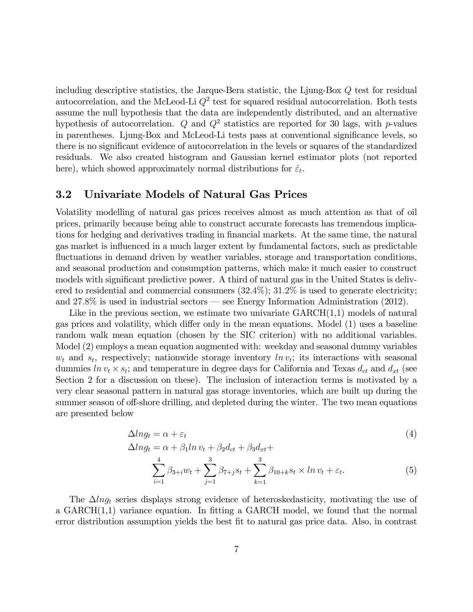including descriptive statistics, the Jarque-Bera statistic, the Ljung-Box Q test for residual autocorrelation, and the McLeod-Li  $Q^2$  test for squared residual autocorrelation. Both tests assume the null hypothesis that the data are independently distributed, and an alternative hypothesis of autocorrelation.  $Q$  and  $Q^2$  statistics are reported for 30 lags, with p-values in parentheses. Ljung-Box and McLeod-Li tests pass at conventional significance levels, so there is no significant evidence of autocorrelation in the levels or squares of the standardized residuals. We also created histogram and Gaussian kernel estimator plots (not reported here), which showed approximately normal distributions for  $\hat{\varepsilon}_t$ .

### 3.2 Univariate Models of Natural Gas Prices

Volatility modelling of natural gas prices receives almost as much attention as that of oil prices, primarily because being able to construct accurate forecasts has tremendous implications for hedging and derivatives trading in financial markets. At the same time, the natural gas market is influenced in a much larger extent by fundamental factors, such as predictable fluctuations in demand driven by weather variables, storage and transportation conditions, and seasonal production and consumption patterns, which make it much easier to construct models with significant predictive power. A third of natural gas in the United States is delivered to residential and commercial consumers (32:4%); 31:2% is used to generate electricity; and  $27.8\%$  is used in industrial sectors — see Energy Information Administration (2012).

Like in the previous section, we estimate two univariate  $\text{GARCH}(1,1)$  models of natural gas prices and volatility, which differ only in the mean equations. Model  $(1)$  uses a baseline random walk mean equation (chosen by the SIC criterion) with no additional variables. Model (2) employs a mean equation augmented with: weekday and seasonal dummy variables  $w_t$  and  $s_t$ , respectively; nationwide storage inventory  $\ln v_t$ ; its interactions with seasonal dummies  $\ln v_t \times s_t$ ; and temperature in degree days for California and Texas  $d_{ct}$  and  $d_{xt}$  (see Section 2 for a discussion on these). The inclusion of interaction terms is motivated by a very clear seasonal pattern in natural gas storage inventories, which are built up during the summer season of off-shore drilling, and depleted during the winter. The two mean equations are presented below

$$
\Delta \ln g_t = \alpha + \varepsilon_t \tag{4}
$$

$$
\Delta lng_t = \alpha + \beta_1 ln \, v_t + \beta_2 d_{ct} + \beta_3 d_{xt} +
$$

$$
\sum_{i=1}^{4} \beta_{3+i} w_t + \sum_{j=1}^{3} \beta_{7+j} s_t + \sum_{k=1}^{3} \beta_{10+k} s_t \times \ln v_t + \varepsilon_t.
$$
 (5)

The  $\Delta$ lng<sub>t</sub> series displays strong evidence of heteroskedasticity, motivating the use of a  $GARCH(1,1)$  variance equation. In fitting a  $GARCH$  model, we found that the normal error distribution assumption yields the best Öt to natural gas price data. Also, in contrast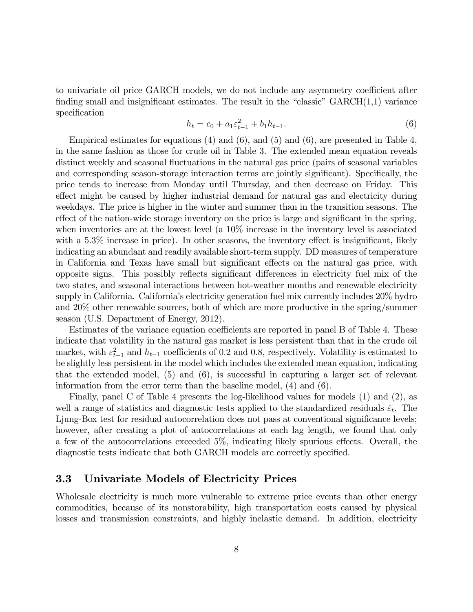to univariate oil price GARCH models, we do not include any asymmetry coefficient after finding small and insignificant estimates. The result in the "classic"  $GARCH(1,1)$  variance specification

$$
h_t = c_0 + a_1 \varepsilon_{t-1}^2 + b_1 h_{t-1}.
$$
\n<sup>(6)</sup>

Empirical estimates for equations (4) and (6), and (5) and (6), are presented in Table 4, in the same fashion as those for crude oil in Table 3. The extended mean equation reveals distinct weekly and seasonal fluctuations in the natural gas price (pairs of seasonal variables and corresponding season-storage interaction terms are jointly significant). Specifically, the price tends to increase from Monday until Thursday, and then decrease on Friday. This effect might be caused by higher industrial demand for natural gas and electricity during weekdays. The price is higher in the winter and summer than in the transition seasons. The effect of the nation-wide storage inventory on the price is large and significant in the spring, when inventories are at the lowest level (a 10% increase in the inventory level is associated with a  $5.3\%$  increase in price). In other seasons, the inventory effect is insignificant, likely indicating an abundant and readily available short-term supply. DD measures of temperature in California and Texas have small but significant effects on the natural gas price, with opposite signs. This possibly reflects significant differences in electricity fuel mix of the two states, and seasonal interactions between hot-weather months and renewable electricity supply in California. California's electricity generation fuel mix currently includes  $20\%$  hydro and 20% other renewable sources, both of which are more productive in the spring/summer season (U.S. Department of Energy, 2012).

Estimates of the variance equation coefficients are reported in panel B of Table 4. These indicate that volatility in the natural gas market is less persistent than that in the crude oil market, with  $\varepsilon_{t-1}^2$  and  $h_{t-1}$  coefficients of 0.2 and 0.8, respectively. Volatility is estimated to be slightly less persistent in the model which includes the extended mean equation, indicating that the extended model, (5) and (6), is successful in capturing a larger set of relevant information from the error term than the baseline model, (4) and (6).

Finally, panel C of Table 4 presents the log-likelihood values for models (1) and (2), as well a range of statistics and diagnostic tests applied to the standardized residuals  $\hat{\varepsilon}_t$ . The Ljung-Box test for residual autocorrelation does not pass at conventional significance levels; however, after creating a plot of autocorrelations at each lag length, we found that only a few of the autocorrelations exceeded  $5\%$ , indicating likely spurious effects. Overall, the diagnostic tests indicate that both GARCH models are correctly specified.

#### 3.3 Univariate Models of Electricity Prices

Wholesale electricity is much more vulnerable to extreme price events than other energy commodities, because of its nonstorability, high transportation costs caused by physical losses and transmission constraints, and highly inelastic demand. In addition, electricity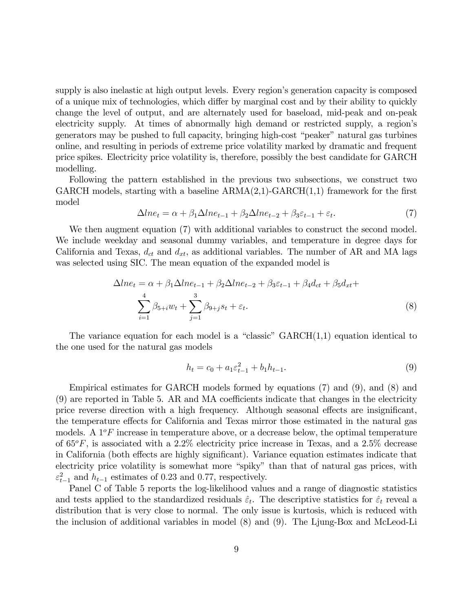supply is also inelastic at high output levels. Every region's generation capacity is composed of a unique mix of technologies, which differ by marginal cost and by their ability to quickly change the level of output, and are alternately used for baseload, mid-peak and on-peak electricity supply. At times of abnormally high demand or restricted supply, a region's generators may be pushed to full capacity, bringing high-cost "peaker" natural gas turbines online, and resulting in periods of extreme price volatility marked by dramatic and frequent price spikes. Electricity price volatility is, therefore, possibly the best candidate for GARCH modelling.

Following the pattern established in the previous two subsections, we construct two GARCH models, starting with a baseline  $ARMA(2,1)-GARCH(1,1)$  framework for the first model

$$
\Delta lne_t = \alpha + \beta_1 \Delta lne_{t-1} + \beta_2 \Delta lne_{t-2} + \beta_3 \varepsilon_{t-1} + \varepsilon_t.
$$
\n<sup>(7)</sup>

We then augment equation (7) with additional variables to construct the second model. We include weekday and seasonal dummy variables, and temperature in degree days for California and Texas,  $d_{ct}$  and  $d_{xt}$ , as additional variables. The number of AR and MA lags was selected using SIC. The mean equation of the expanded model is

$$
\Delta lne_t = \alpha + \beta_1 \Delta lne_{t-1} + \beta_2 \Delta lne_{t-2} + \beta_3 \varepsilon_{t-1} + \beta_4 d_{ct} + \beta_5 d_{xt} + \sum_{i=1}^4 \beta_{5+i} w_t + \sum_{j=1}^3 \beta_{9+j} s_t + \varepsilon_t.
$$
\n
$$
(8)
$$

The variance equation for each model is a "classic"  $GARCH(1,1)$  equation identical to the one used for the natural gas models

$$
h_t = c_0 + a_1 \varepsilon_{t-1}^2 + b_1 h_{t-1}.
$$
\n(9)

Empirical estimates for GARCH models formed by equations (7) and (9), and (8) and  $(9)$  are reported in Table 5. AR and MA coefficients indicate that changes in the electricity price reverse direction with a high frequency. Although seasonal effects are insignificant, the temperature effects for California and Texas mirror those estimated in the natural gas models. A  $1^oF$  increase in temperature above, or a decrease below, the optimal temperature of  $65^{\circ}F$ , is associated with a 2.2% electricity price increase in Texas, and a 2.5% decrease in California (both effects are highly significant). Variance equation estimates indicate that electricity price volatility is somewhat more "spiky" than that of natural gas prices, with  $\varepsilon_{t-1}^2$  and  $h_{t-1}$  estimates of 0.23 and 0.77, respectively.

Panel C of Table 5 reports the log-likelihood values and a range of diagnostic statistics and tests applied to the standardized residuals  $\hat{\varepsilon}_t$ . The descriptive statistics for  $\hat{\varepsilon}_t$  reveal a distribution that is very close to normal. The only issue is kurtosis, which is reduced with the inclusion of additional variables in model (8) and (9). The Ljung-Box and McLeod-Li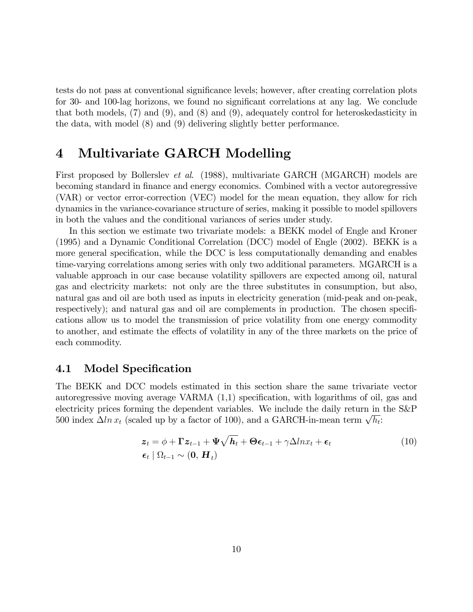tests do not pass at conventional significance levels; however, after creating correlation plots for 30- and 100-lag horizons, we found no significant correlations at any lag. We conclude that both models, (7) and (9), and (8) and (9), adequately control for heteroskedasticity in the data, with model (8) and (9) delivering slightly better performance.

# 4 Multivariate GARCH Modelling

First proposed by Bollerslev et al. (1988), multivariate GARCH (MGARCH) models are becoming standard in finance and energy economics. Combined with a vector autoregressive (VAR) or vector error-correction (VEC) model for the mean equation, they allow for rich dynamics in the variance-covariance structure of series, making it possible to model spillovers in both the values and the conditional variances of series under study.

In this section we estimate two trivariate models: a BEKK model of Engle and Kroner (1995) and a Dynamic Conditional Correlation (DCC) model of Engle (2002). BEKK is a more general specification, while the DCC is less computationally demanding and enables time-varying correlations among series with only two additional parameters. MGARCH is a valuable approach in our case because volatility spillovers are expected among oil, natural gas and electricity markets: not only are the three substitutes in consumption, but also, natural gas and oil are both used as inputs in electricity generation (mid-peak and on-peak, respectively); and natural gas and oil are complements in production. The chosen specifications allow us to model the transmission of price volatility from one energy commodity to another, and estimate the effects of volatility in any of the three markets on the price of each commodity.

### 4.1 Model Specification

The BEKK and DCC models estimated in this section share the same trivariate vector autoregressive moving average VARMA  $(1,1)$  specification, with logarithms of oil, gas and electricity prices forming the dependent variables. We include the daily return in the S&P 500 index  $\Delta \ln x_t$  (scaled up by a factor of 100), and a GARCH-in-mean term  $\sqrt{h_t}$ :

$$
\mathbf{z}_{t} = \phi + \mathbf{\Gamma} \mathbf{z}_{t-1} + \mathbf{\Psi} \sqrt{\mathbf{h}_{t}} + \mathbf{\Theta} \boldsymbol{\epsilon}_{t-1} + \gamma \Delta \ln x_{t} + \boldsymbol{\epsilon}_{t} \tag{10}
$$
\n
$$
\boldsymbol{\epsilon}_{t} \mid \Omega_{t-1} \sim (\mathbf{0}, \mathbf{H}_{t})
$$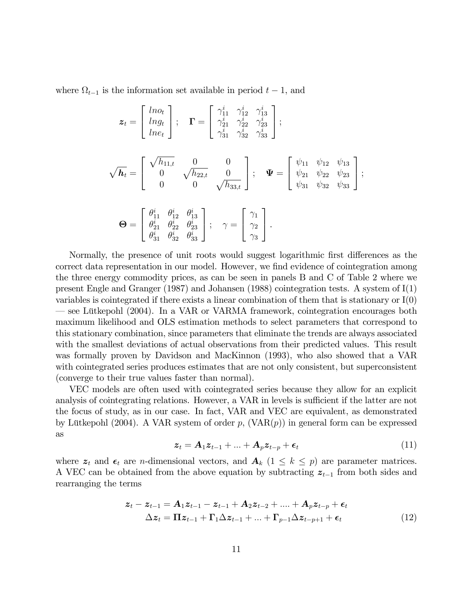where  $\Omega_{t-1}$  is the information set available in period  $t-1$ , and

$$
\mathbf{z}_{t} = \begin{bmatrix} ln o_{t} \\ ln g_{t} \\ ln e_{t} \end{bmatrix}; \quad \mathbf{\Gamma} = \begin{bmatrix} \gamma_{11}^{i} & \gamma_{12}^{i} & \gamma_{13}^{i} \\ \gamma_{21}^{i} & \gamma_{22}^{i} & \gamma_{23}^{i} \\ \gamma_{31}^{i} & \gamma_{32}^{i} & \gamma_{33}^{i} \end{bmatrix};
$$

$$
\sqrt{\mathbf{h}_{t}} = \begin{bmatrix} \sqrt{h_{11,t}} & 0 & 0 \\ 0 & \sqrt{h_{22,t}} & 0 \\ 0 & 0 & \sqrt{h_{33,t}} \end{bmatrix}; \quad \mathbf{\Psi} = \begin{bmatrix} \psi_{11} & \psi_{12} & \psi_{13} \\ \psi_{21} & \psi_{22} & \psi_{23} \\ \psi_{31} & \psi_{32} & \psi_{33} \end{bmatrix};
$$

$$
\Theta = \begin{bmatrix} \theta_{11}^{i} & \theta_{12}^{i} & \theta_{13}^{i} \\ \theta_{21}^{i} & \theta_{22}^{i} & \theta_{23}^{i} \\ \theta_{31}^{i} & \theta_{32}^{i} & \theta_{33}^{i} \end{bmatrix}; \quad \gamma = \begin{bmatrix} \gamma_{1} \\ \gamma_{2} \\ \gamma_{3} \end{bmatrix}.
$$

Normally, the presence of unit roots would suggest logarithmic first differences as the correct data representation in our model. However, we find evidence of cointegration among the three energy commodity prices, as can be seen in panels B and C of Table 2 where we present Engle and Granger (1987) and Johansen (1988) cointegration tests. A system of I(1) variables is cointegrated if there exists a linear combination of them that is stationary or I(0)  $\sim$  see Lütkepohl (2004). In a VAR or VARMA framework, cointegration encourages both maximum likelihood and OLS estimation methods to select parameters that correspond to this stationary combination, since parameters that eliminate the trends are always associated with the smallest deviations of actual observations from their predicted values. This result was formally proven by Davidson and MacKinnon (1993), who also showed that a VAR with cointegrated series produces estimates that are not only consistent, but superconsistent (converge to their true values faster than normal).

VEC models are often used with cointegrated series because they allow for an explicit analysis of cointegrating relations. However, a VAR in levels is sufficient if the latter are not the focus of study, as in our case. In fact, VAR and VEC are equivalent, as demonstrated by Lütkepohl (2004). A VAR system of order p,  $(VAR(p))$  in general form can be expressed as

$$
\boldsymbol{z}_t = \mathbf{A}_1 \boldsymbol{z}_{t-1} + \ldots + \mathbf{A}_p \boldsymbol{z}_{t-p} + \boldsymbol{\epsilon}_t \tag{11}
$$

where  $z_t$  and  $\epsilon_t$  are *n*-dimensional vectors, and  $\mathbf{A}_k$  ( $1 \leq k \leq p$ ) are parameter matrices. A VEC can be obtained from the above equation by subtracting  $z_{t-1}$  from both sides and rearranging the terms

$$
\mathbf{z}_{t} - \mathbf{z}_{t-1} = \mathbf{A}_{1}\mathbf{z}_{t-1} - \mathbf{z}_{t-1} + \mathbf{A}_{2}\mathbf{z}_{t-2} + \dots + \mathbf{A}_{p}\mathbf{z}_{t-p} + \boldsymbol{\epsilon}_{t}
$$
  
\n
$$
\Delta \mathbf{z}_{t} = \boldsymbol{\Pi} \mathbf{z}_{t-1} + \boldsymbol{\Gamma}_{1} \Delta \mathbf{z}_{t-1} + \dots + \boldsymbol{\Gamma}_{p-1} \Delta \mathbf{z}_{t-p+1} + \boldsymbol{\epsilon}_{t}
$$
\n(12)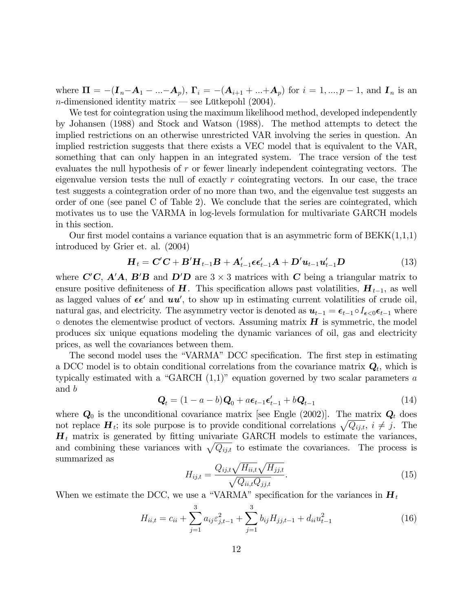where  $\Pi = -(I_n-A_1-...-A_p), \Gamma_i = -(A_{i+1}+...+A_p)$  for  $i=1,...,p-1$ , and  $I_n$  is an *n*-dimensioned identity matrix  $\sim$  see Lütkepohl (2004).

We test for cointegration using the maximum likelihood method, developed independently by Johansen (1988) and Stock and Watson (1988). The method attempts to detect the implied restrictions on an otherwise unrestricted VAR involving the series in question. An implied restriction suggests that there exists a VEC model that is equivalent to the VAR, something that can only happen in an integrated system. The trace version of the test evaluates the null hypothesis of r or fewer linearly independent cointegrating vectors. The eigenvalue version tests the null of exactly  $r$  cointegrating vectors. In our case, the trace test suggests a cointegration order of no more than two, and the eigenvalue test suggests an order of one (see panel C of Table 2). We conclude that the series are cointegrated, which motivates us to use the VARMA in log-levels formulation for multivariate GARCH models in this section.

Our first model contains a variance equation that is an asymmetric form of  $BEKK(1,1,1)$ introduced by Grier et. al. (2004)

$$
\boldsymbol{H}_{t} = \boldsymbol{C}'\boldsymbol{C} + \boldsymbol{B}'\boldsymbol{H}_{t-1}\boldsymbol{B} + \boldsymbol{A}'_{t-1}\boldsymbol{\epsilon}\boldsymbol{\epsilon}'_{t-1}\boldsymbol{A} + \boldsymbol{D}'\boldsymbol{u}_{t-1}\boldsymbol{u}'_{t-1}\boldsymbol{D}
$$
(13)

where  $\mathbf{C}'\mathbf{C}$ ,  $\mathbf{A}'\mathbf{A}$ ,  $\mathbf{B}'\mathbf{B}$  and  $\mathbf{D}'\mathbf{D}$  are  $3 \times 3$  matrices with  $\mathbf{C}$  being a triangular matrix to ensure positive definiteness of  $H$ . This specification allows past volatilities,  $H_{t-1}$ , as well as lagged values of  $\epsilon \epsilon'$  and  $uu'$ , to show up in estimating current volatilities of crude oil, natural gas, and electricity. The asymmetry vector is denoted as  $u_{t-1} = \epsilon_{t-1} \circ I_{\epsilon \le 0} \epsilon_{t-1}$  where  $\circ$  denotes the elementwise product of vectors. Assuming matrix  $\boldsymbol{H}$  is symmetric, the model produces six unique equations modeling the dynamic variances of oil, gas and electricity prices, as well the covariances between them.

The second model uses the "VARMA" DCC specification. The first step in estimating a DCC model is to obtain conditional correlations from the covariance matrix  $Q_t$ , which is typically estimated with a "GARCH  $(1,1)$ " equation governed by two scalar parameters a and b

$$
\mathbf{Q}_t = (1 - a - b)\mathbf{Q}_0 + a\boldsymbol{\epsilon}_{t-1}\boldsymbol{\epsilon}_{t-1}' + b\mathbf{Q}_{t-1} \tag{14}
$$

where  $Q_0$  is the unconditional covariance matrix [see Engle (2002)]. The matrix  $Q_t$  does not replace  $\mathbf{H}_t$ ; its sole purpose is to provide conditional correlations  $\sqrt{Q_{ij,t}}$ ,  $i \neq j$ . The  $H_t$  matrix is generated by fitting univariate GARCH models to estimate the variances, and combining these variances with  $\sqrt{Q_{ij,t}}$  to estimate the covariances. The process is summarized as

$$
H_{ij,t} = \frac{Q_{ij,t}\sqrt{H_{ii,t}}\sqrt{H_{jj,t}}}{\sqrt{Q_{ii,t}Q_{jj,t}}}.
$$
\n(15)

When we estimate the DCC, we use a "VARMA" specification for the variances in  $H_t$ 

$$
H_{ii,t} = c_{ii} + \sum_{j=1}^{3} a_{ij} \varepsilon_{j,t-1}^{2} + \sum_{j=1}^{3} b_{ij} H_{jj,t-1} + d_{ii} u_{t-1}^{2}
$$
 (16)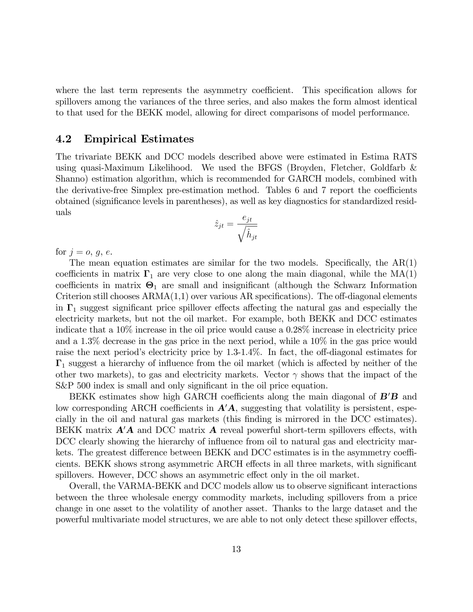where the last term represents the asymmetry coefficient. This specification allows for spillovers among the variances of the three series, and also makes the form almost identical to that used for the BEKK model, allowing for direct comparisons of model performance.

#### 4.2 Empirical Estimates

The trivariate BEKK and DCC models described above were estimated in Estima RATS using quasi-Maximum Likelihood. We used the BFGS (Broyden, Fletcher, Goldfarb & Shanno) estimation algorithm, which is recommended for GARCH models, combined with the derivative-free Simplex pre-estimation method. Tables 6 and 7 report the coefficients obtained (significance levels in parentheses), as well as key diagnostics for standardized residuals

$$
\hat{z}_{jt} = \frac{e_{jt}}{\sqrt{\hat{h}_{jt}}}
$$

for  $j = 0, q, e$ .

The mean equation estimates are similar for the two models. Specifically, the  $AR(1)$ coefficients in matrix  $\Gamma_1$  are very close to one along the main diagonal, while the MA(1) coefficients in matrix  $\Theta_1$  are small and insignificant (although the Schwarz Information Criterion still chooses  $ARMA(1,1)$  over various  $AR$  specifications). The off-diagonal elements in  $\Gamma_1$  suggest significant price spillover effects affecting the natural gas and especially the electricity markets, but not the oil market. For example, both BEKK and DCC estimates indicate that a 10% increase in the oil price would cause a 0.28% increase in electricity price and a 1.3% decrease in the gas price in the next period, while a 10% in the gas price would raise the next period's electricity price by  $1.3{\text -}1.4\%$ . In fact, the off-diagonal estimates for  $\Gamma_1$  suggest a hierarchy of influence from the oil market (which is affected by neither of the other two markets), to gas and electricity markets. Vector  $\gamma$  shows that the impact of the  $S\&P$  500 index is small and only significant in the oil price equation.

BEKK estimates show high GARCH coefficients along the main diagonal of  $B'B$  and low corresponding ARCH coefficients in  $\mathbf{A}'\mathbf{A}$ , suggesting that volatility is persistent, especially in the oil and natural gas markets (this Önding is mirrored in the DCC estimates). BEKK matrix  $\mathbf{A}'\mathbf{A}$  and DCC matrix  $\mathbf{A}$  reveal powerful short-term spillovers effects, with DCC clearly showing the hierarchy of influence from oil to natural gas and electricity markets. The greatest difference between BEKK and DCC estimates is in the asymmetry coefficients. BEKK shows strong asymmetric ARCH effects in all three markets, with significant spillovers. However, DCC shows an asymmetric effect only in the oil market.

Overall, the VARMA-BEKK and DCC models allow us to observe significant interactions between the three wholesale energy commodity markets, including spillovers from a price change in one asset to the volatility of another asset. Thanks to the large dataset and the powerful multivariate model structures, we are able to not only detect these spillover effects,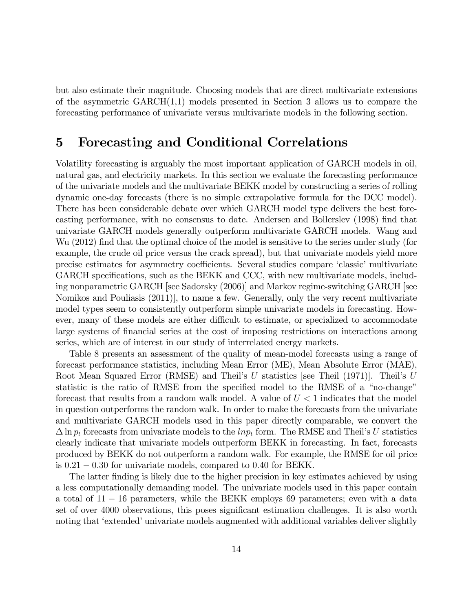but also estimate their magnitude. Choosing models that are direct multivariate extensions of the asymmetric GARCH(1,1) models presented in Section 3 allows us to compare the forecasting performance of univariate versus multivariate models in the following section.

## 5 Forecasting and Conditional Correlations

Volatility forecasting is arguably the most important application of GARCH models in oil, natural gas, and electricity markets. In this section we evaluate the forecasting performance of the univariate models and the multivariate BEKK model by constructing a series of rolling dynamic one-day forecasts (there is no simple extrapolative formula for the DCC model). There has been considerable debate over which GARCH model type delivers the best forecasting performance, with no consensus to date. Andersen and Bollerslev (1998) find that univariate GARCH models generally outperform multivariate GARCH models. Wang and Wu (2012) find that the optimal choice of the model is sensitive to the series under study (for example, the crude oil price versus the crack spread), but that univariate models yield more precise estimates for asymmetry coefficients. Several studies compare 'classic' multivariate GARCH specifications, such as the BEKK and CCC, with new multivariate models, including nonparametric GARCH [see Sadorsky (2006)] and Markov regime-switching GARCH [see Nomikos and Pouliasis (2011)], to name a few. Generally, only the very recent multivariate model types seem to consistently outperform simple univariate models in forecasting. However, many of these models are either difficult to estimate, or specialized to accommodate large systems of financial series at the cost of imposing restrictions on interactions among series, which are of interest in our study of interrelated energy markets.

Table 8 presents an assessment of the quality of mean-model forecasts using a range of forecast performance statistics, including Mean Error (ME), Mean Absolute Error (MAE), Root Mean Squared Error (RMSE) and Theil's U statistics [see Theil  $(1971)$ ]. Theil's U statistic is the ratio of RMSE from the specified model to the RMSE of a "no-change" forecast that results from a random walk model. A value of  $U < 1$  indicates that the model in question outperforms the random walk. In order to make the forecasts from the univariate and multivariate GARCH models used in this paper directly comparable, we convert the  $\Delta \ln p_t$  forecasts from univariate models to the  $ln p_t$  form. The RMSE and Theil's U statistics clearly indicate that univariate models outperform BEKK in forecasting. In fact, forecasts produced by BEKK do not outperform a random walk. For example, the RMSE for oil price is  $0.21 - 0.30$  for univariate models, compared to 0.40 for BEKK.

The latter finding is likely due to the higher precision in key estimates achieved by using a less computationally demanding model. The univariate models used in this paper contain a total of  $11 - 16$  parameters, while the BEKK employs 69 parameters; even with a data set of over 4000 observations, this poses significant estimation challenges. It is also worth noting that 'extended' univariate models augmented with additional variables deliver slightly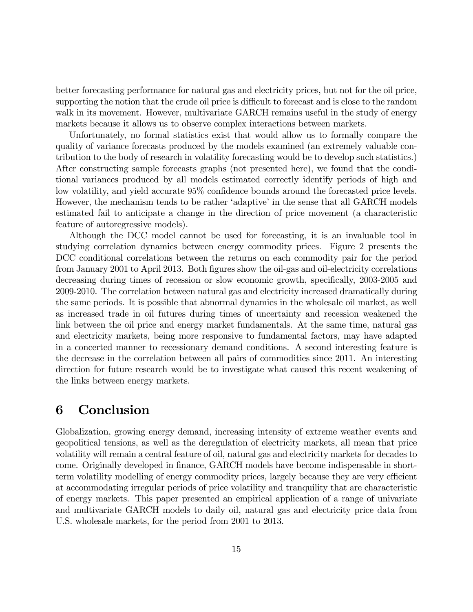better forecasting performance for natural gas and electricity prices, but not for the oil price, supporting the notion that the crude oil price is difficult to forecast and is close to the random walk in its movement. However, multivariate GARCH remains useful in the study of energy markets because it allows us to observe complex interactions between markets.

Unfortunately, no formal statistics exist that would allow us to formally compare the quality of variance forecasts produced by the models examined (an extremely valuable contribution to the body of research in volatility forecasting would be to develop such statistics.) After constructing sample forecasts graphs (not presented here), we found that the conditional variances produced by all models estimated correctly identify periods of high and low volatility, and yield accurate  $95\%$  confidence bounds around the forecasted price levels. However, the mechanism tends to be rather 'adaptive' in the sense that all GARCH models estimated fail to anticipate a change in the direction of price movement (a characteristic feature of autoregressive models).

Although the DCC model cannot be used for forecasting, it is an invaluable tool in studying correlation dynamics between energy commodity prices. Figure 2 presents the DCC conditional correlations between the returns on each commodity pair for the period from January 2001 to April 2013. Both figures show the oil-gas and oil-electricity correlations decreasing during times of recession or slow economic growth, specifically, 2003-2005 and 2009-2010. The correlation between natural gas and electricity increased dramatically during the same periods. It is possible that abnormal dynamics in the wholesale oil market, as well as increased trade in oil futures during times of uncertainty and recession weakened the link between the oil price and energy market fundamentals. At the same time, natural gas and electricity markets, being more responsive to fundamental factors, may have adapted in a concerted manner to recessionary demand conditions. A second interesting feature is the decrease in the correlation between all pairs of commodities since 2011. An interesting direction for future research would be to investigate what caused this recent weakening of the links between energy markets.

# 6 Conclusion

Globalization, growing energy demand, increasing intensity of extreme weather events and geopolitical tensions, as well as the deregulation of electricity markets, all mean that price volatility will remain a central feature of oil, natural gas and electricity markets for decades to come. Originally developed in finance, GARCH models have become indispensable in shortterm volatility modelling of energy commodity prices, largely because they are very efficient at accommodating irregular periods of price volatility and tranquility that are characteristic of energy markets. This paper presented an empirical application of a range of univariate and multivariate GARCH models to daily oil, natural gas and electricity price data from U.S. wholesale markets, for the period from 2001 to 2013.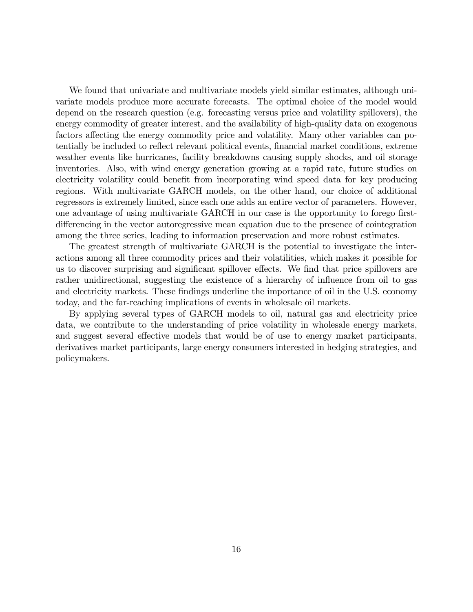We found that univariate and multivariate models yield similar estimates, although univariate models produce more accurate forecasts. The optimal choice of the model would depend on the research question (e.g. forecasting versus price and volatility spillovers), the energy commodity of greater interest, and the availability of high-quality data on exogenous factors affecting the energy commodity price and volatility. Many other variables can potentially be included to reflect relevant political events, financial market conditions, extreme weather events like hurricanes, facility breakdowns causing supply shocks, and oil storage inventories. Also, with wind energy generation growing at a rapid rate, future studies on electricity volatility could benefit from incorporating wind speed data for key producing regions. With multivariate GARCH models, on the other hand, our choice of additional regressors is extremely limited, since each one adds an entire vector of parameters. However, one advantage of using multivariate GARCH in our case is the opportunity to forego Örstdifferencing in the vector autoregressive mean equation due to the presence of cointegration among the three series, leading to information preservation and more robust estimates.

The greatest strength of multivariate GARCH is the potential to investigate the interactions among all three commodity prices and their volatilities, which makes it possible for us to discover surprising and significant spillover effects. We find that price spillovers are rather unidirectional, suggesting the existence of a hierarchy of influence from oil to gas and electricity markets. These findings underline the importance of oil in the U.S. economy today, and the far-reaching implications of events in wholesale oil markets.

By applying several types of GARCH models to oil, natural gas and electricity price data, we contribute to the understanding of price volatility in wholesale energy markets, and suggest several effective models that would be of use to energy market participants, derivatives market participants, large energy consumers interested in hedging strategies, and policymakers.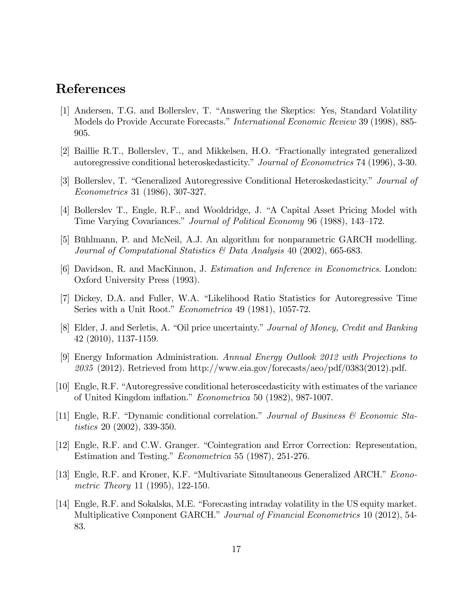# References

- [1] Andersen, T.G. and Bollerslev, T. "Answering the Skeptics: Yes, Standard Volatility Models do Provide Accurate Forecasts." International Economic Review 39 (1998), 885-905.
- [2] Baillie R.T., Bollerslev, T., and Mikkelsen, H.O. "Fractionally integrated generalized autoregressive conditional heteroskedasticity." Journal of Econometrics 74 (1996), 3-30.
- [3] Bollerslev, T. "Generalized Autoregressive Conditional Heteroskedasticity." *Journal of* Econometrics 31 (1986), 307-327.
- [4] Bollerslev T., Engle, R.F., and Wooldridge, J. "A Capital Asset Pricing Model with Time Varying Covariances." Journal of Political Economy 96 (1988), 143–172.
- [5] Bühlmann, P. and McNeil, A.J. An algorithm for nonparametric GARCH modelling. Journal of Computational Statistics & Data Analysis 40 (2002), 665-683.
- [6] Davidson, R. and MacKinnon, J. Estimation and Inference in Econometrics. London: Oxford University Press (1993).
- [7] Dickey, D.A. and Fuller, W.A. "Likelihood Ratio Statistics for Autoregressive Time Series with a Unit Root."  $Econometrica$  49 (1981), 1057-72.
- [8] Elder, J. and Serletis, A. "Oil price uncertainty." Journal of Money, Credit and Banking 42 (2010), 1137-1159.
- [9] Energy Information Administration. Annual Energy Outlook 2012 with Projections to  $2035$  (2012). Retrieved from http://www.eia.gov/forecasts/aeo/pdf/0383(2012).pdf.
- [10] Engle, R.F. "Autoregressive conditional heteroscedasticity with estimates of the variance of United Kingdom inflation." *Econometrica* 50 (1982), 987-1007.
- [11] Engle, R.F. "Dynamic conditional correlation." Journal of Business  $\mathcal C$  Economic Statistics 20 (2002), 339-350.
- [12] Engle, R.F. and C.W. Granger. "Cointegration and Error Correction: Representation, Estimation and Testing." *Econometrica* 55 (1987), 251-276.
- [13] Engle, R.F. and Kroner, K.F. "Multivariate Simultaneous Generalized ARCH." Econometric Theory 11 (1995), 122-150.
- [14] Engle, R.F. and Sokalska, M.E. "Forecasting intraday volatility in the US equity market. Multiplicative Component GARCH." Journal of Financial Econometrics 10 (2012), 54-83.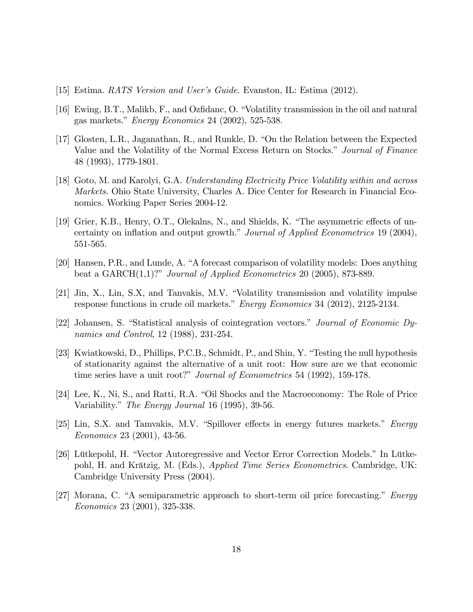- [15] Estima. RATS Version and Userís Guide. Evanston, IL: Estima (2012).
- [16] Ewing, B.T., Malikb, F., and Ozfidanc, O. "Volatility transmission in the oil and natural gas markets." *Energy Economics* 24 (2002), 525-538.
- [17] Glosten, L.R., Jaganathan, R., and Runkle, D. "On the Relation between the Expected Value and the Volatility of the Normal Excess Return on Stocks.<sup>"</sup> Journal of Finance 48 (1993), 1779-1801.
- [18] Goto, M. and Karolyi, G.A. Understanding Electricity Price Volatility within and across Markets. Ohio State University, Charles A. Dice Center for Research in Financial Economics. Working Paper Series 2004-12.
- [19] Grier, K.B., Henry, O.T., Olekalns, N., and Shields, K. "The asymmetric effects of uncertainty on inflation and output growth." Journal of Applied Econometrics 19 (2004), 551-565.
- [20] Hansen, P.R., and Lunde, A. "A forecast comparison of volatility models: Does anything beat a  $GARCH(1,1)$ ?" Journal of Applied Econometrics 20 (2005), 873-889.
- [21] Jin, X., Lin, S.X, and Tanvakis, M.V. "Volatility transmission and volatility impulse response functions in crude oil markets." *Energy Economics* 34 (2012), 2125-2134.
- [22] Johansen, S. "Statistical analysis of cointegration vectors." Journal of Economic Dynamics and Control, 12 (1988), 231-254.
- [23] Kwiatkowski, D., Phillips, P.C.B., Schmidt, P., and Shin, Y. "Testing the null hypothesis of stationarity against the alternative of a unit root: How sure are we that economic time series have a unit root?" *Journal of Econometrics* 54 (1992), 159-178.
- [24] Lee, K., Ni, S., and Ratti, R.A. "Oil Shocks and the Macroeconomy: The Role of Price Variability." The Energy Journal 16  $(1995)$ , 39-56.
- [25] Lin, S.X. and Tamvakis, M.V. "Spillover effects in energy futures markets." Energy Economics 23 (2001), 43-56.
- [26] Lütkepohl, H. "Vector Autoregressive and Vector Error Correction Models." In Lütkepohl, H. and Krätzig, M. (Eds.), *Applied Time Series Econometrics*. Cambridge, UK: Cambridge University Press (2004).
- [27] Morana, C. "A semiparametric approach to short-term oil price forecasting." Energy Economics 23 (2001), 325-338.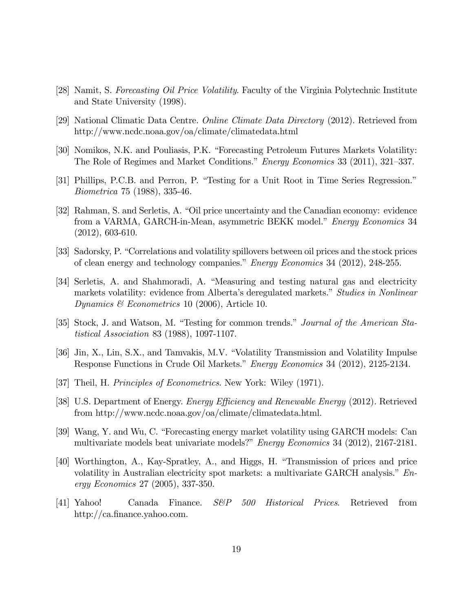- [28] Namit, S. Forecasting Oil Price Volatility. Faculty of the Virginia Polytechnic Institute and State University (1998).
- [29] National Climatic Data Centre. Online Climate Data Directory (2012). Retrieved from http://www.ncdc.noaa.gov/oa/climate/climatedata.html
- [30] Nomikos, N.K. and Pouliasis, P.K. "Forecasting Petroleum Futures Markets Volatility: The Role of Regimes and Market Conditions." *Energy Economics* 33 (2011), 321–337.
- [31] Phillips, P.C.B. and Perron, P. "Testing for a Unit Root in Time Series Regression." Biometrica 75 (1988), 335-46.
- [32] Rahman, S. and Serletis, A. "Oil price uncertainty and the Canadian economy: evidence from a VARMA, GARCH-in-Mean, asymmetric BEKK model." *Energy Economics* 34 (2012), 603-610.
- [33] Sadorsky, P. "Correlations and volatility spillovers between oil prices and the stock prices of clean energy and technology companies." *Energy Economics* 34 (2012), 248-255.
- [34] Serletis, A. and Shahmoradi, A. "Measuring and testing natural gas and electricity markets volatility: evidence from Alberta's deregulated markets." Studies in Nonlinear Dynamics  $\mathcal C$  Econometrics 10 (2006), Article 10.
- [35] Stock, J. and Watson, M. "Testing for common trends." Journal of the American Statistical Association 83 (1988), 1097-1107.
- [36] Jin, X., Lin, S.X., and Tamvakis, M.V. "Volatility Transmission and Volatility Impulse Response Functions in Crude Oil Markets." *Energy Economics* 34 (2012), 2125-2134.
- [37] Theil, H. *Principles of Econometrics*. New York: Wiley (1971).
- [38] U.S. Department of Energy. *Energy Efficiency and Renewable Energy* (2012). Retrieved from http://www.ncdc.noaa.gov/oa/climate/climatedata.html.
- [39] Wang, Y. and Wu, C. "Forecasting energy market volatility using GARCH models: Can multivariate models beat univariate models?" *Energy Economics* 34 (2012), 2167-2181.
- [40] Worthington, A., Kay-Spratley, A., and Higgs, H. "Transmission of prices and price volatility in Australian electricity spot markets: a multivariate GARCH analysis.<sup>n</sup>  $En$ ergy Economics 27 (2005), 337-350.
- [41] Yahoo! Canada Finance.  $S\&P$  500 Historical Prices. Retrieved from http://ca.finance.yahoo.com.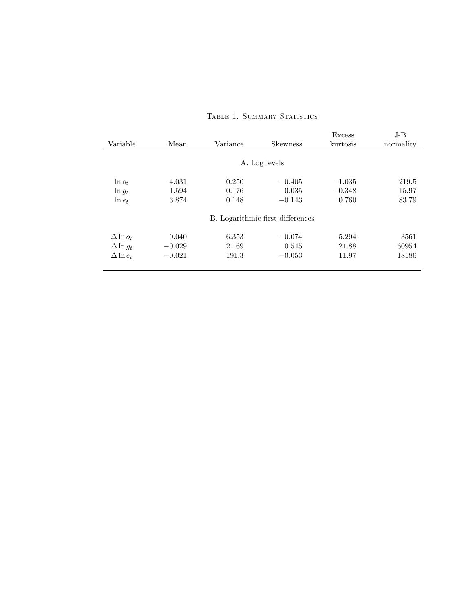| Variable         | Mean     | Variance | <b>Skewness</b>                  | Excess<br>kurtosis | $J-B$<br>normality |
|------------------|----------|----------|----------------------------------|--------------------|--------------------|
|                  |          |          | A. Log levels                    |                    |                    |
|                  |          |          |                                  |                    |                    |
| $\ln o_t$        | 4.031    | 0.250    | $-0.405$                         | $-1.035$           | 219.5              |
| $\ln g_t$        | 1.594    | 0.176    | 0.035                            | $-0.348$           | 15.97              |
| $\ln e_t$        | 3.874    | 0.148    | $-0.143$                         | 0.760              | 83.79              |
|                  |          |          | B. Logarithmic first differences |                    |                    |
| $\Delta \ln o_t$ | 0.040    | 6.353    | $-0.074$                         | 5.294              | 3561               |
| $\Delta \ln g_t$ | $-0.029$ | 21.69    | 0.545                            | 21.88              | 60954              |
| $\Delta \ln e_t$ | $-0.021$ | 191.3    | $-0.053$                         | 11.97              | 18186              |

#### TABLE 1. SUMMARY STATISTICS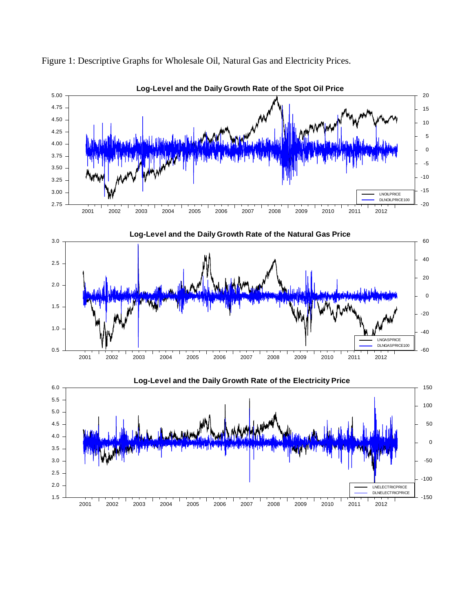

Figure 1: Descriptive Graphs for Wholesale Oil, Natural Gas and Electricity Prices.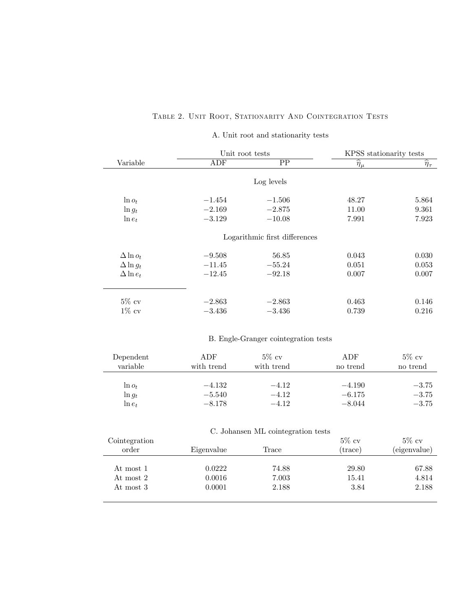|  |  |  |  |  | TABLE 2. UNIT ROOT, STATIONARITY AND COINTEGRATION TESTS |  |
|--|--|--|--|--|----------------------------------------------------------|--|
|--|--|--|--|--|----------------------------------------------------------|--|

### A. Unit root and stationarity tests

|                  | Unit root tests |                               | KPSS stationarity tests |                         |
|------------------|-----------------|-------------------------------|-------------------------|-------------------------|
| Variable         | ADF             | PP                            | $\widehat{\eta}^{}_\mu$ | $\widehat{\eta}_{\tau}$ |
|                  |                 | Log levels                    |                         |                         |
| $\ln o_t$        | $-1.454$        | $-1.506$                      | 48.27                   | 5.864                   |
| $\ln g_t$        | $-2.169$        | $-2.875$                      | 11.00                   | 9.361                   |
| $\ln e_t$        | $-3.129$        | $-10.08$                      | 7.991                   | 7.923                   |
|                  |                 | Logarithmic first differences |                         |                         |
| $\Delta \ln o_t$ | $-9.508$        | 56.85                         | 0.043                   | 0.030                   |
| $\Delta \ln g_t$ | $-11.45$        | $-55.24$                      | 0.051                   | 0.053                   |
| $\Delta \ln e_t$ | $-12.45$        | $-92.18$                      | 0.007                   | 0.007                   |
|                  |                 |                               |                         |                         |
| $5\%$ cv         | $-2.863$        | $-2.863$                      | 0.463                   | 0.146                   |
| $1\%$ cv         | $-3.436$        | $-3.436$                      | 0.739                   | 0.216                   |

### B. Engle-Granger cointegration tests

| Dependent | ADF        | $5\%$ cv   | ADF      | $5\%$ cv |
|-----------|------------|------------|----------|----------|
| variable  | with trend | with trend | no trend | no trend |
| $\ln o_t$ | $-4.132$   | $-4.12$    | $-4.190$ | $-3.75$  |
| $\ln g_t$ | $-5.540$   | $-4.12$    | $-6.175$ | $-3.75$  |
| $\ln e_t$ | $-8.178$   | $-4.12$    | $-8.044$ | $-3.75$  |

|               |            | C. Johansen ML cointegration tests |                  |              |
|---------------|------------|------------------------------------|------------------|--------------|
| Cointegration |            |                                    | $5\%$ cv         | $5\%$ cv     |
| order         | Eigenvalue | Trace                              | $(\text{trace})$ | (eigenvalue) |
|               |            |                                    |                  |              |
| At most 1     | 0.0222     | 74.88                              | 29.80            | 67.88        |
| At most 2     | 0.0016     | 7.003                              | 15.41            | 4.814        |
| At most 3     | 0.0001     | 2.188                              | 3.84             | 2.188        |
|               |            |                                    |                  |              |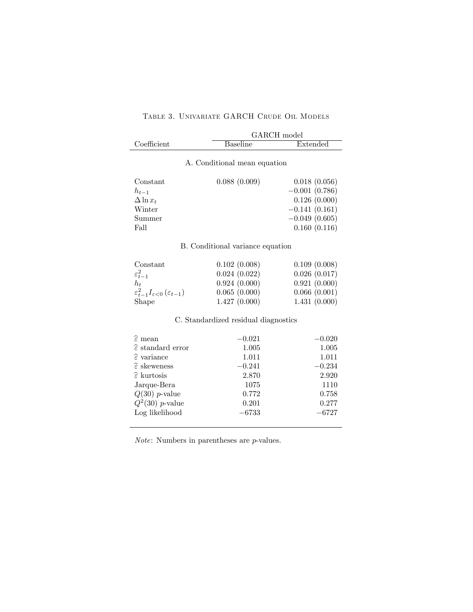#### Table 3. Univariate GARCH Crude Oil Models

|               | GARCH model |          |  |
|---------------|-------------|----------|--|
| Coefficient : | Baseline    | Extended |  |

A. Conditional mean equation

| Constant         | 0.088(0.009) | 0.018(0.056)    |
|------------------|--------------|-----------------|
| $h_{t-1}$        |              | $-0.001(0.786)$ |
| $\Delta \ln x_t$ |              | 0.126(0.000)    |
| Winter           |              | $-0.141(0.161)$ |
| Summer           |              | $-0.049(0.605)$ |
| Fall             |              | 0.160(0.116)    |

#### B. Conditional variance equation

| Constant                                                                   | 0.102(0.008) | 0.109(0.008) |
|----------------------------------------------------------------------------|--------------|--------------|
| $\varepsilon_{t-1}^2$                                                      | 0.024(0.022) | 0.026(0.017) |
| $h_t$                                                                      | 0.924(0.000) | 0.921(0.000) |
| $\varepsilon_{t-1}^2 I_{\varepsilon < 0} \left( \varepsilon_{t-1} \right)$ | 0.065(0.000) | 0.066(0.001) |
| Shape                                                                      | 1.427(0.000) | 1.431(0.000) |

#### C. Standardized residual diagnostics

| $\widehat{\boldsymbol{\varepsilon}}$ mean | $-0.021$ | $-0.020$ |
|-------------------------------------------|----------|----------|
| $\hat{\varepsilon}$ standard error        | 1.005    | 1.005    |
| $\hat{\varepsilon}$ variance              | 1.011    | 1.011    |
| $\widehat{\varepsilon}$ skeweness         | $-0.241$ | $-0.234$ |
| $\hat{\epsilon}$ kurtosis                 | 2.870    | 2.920    |
| Jarque-Bera                               | 1075     | 1110     |
| $Q(30)$ <i>p</i> -value                   | 0.772    | 0.758    |
| $Q^2(30)$ p-value                         | 0.201    | 0.277    |
| Log likelihood                            | $-6733$  | $-6727$  |
|                                           |          |          |

Note: Numbers in parentheses are p-values.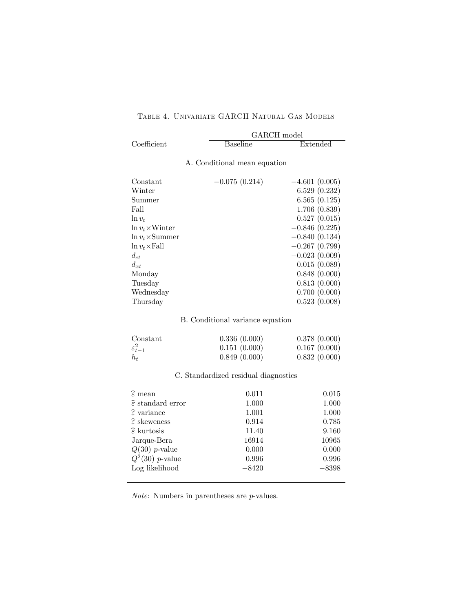|                                 |                              | GARCH model     |  |  |
|---------------------------------|------------------------------|-----------------|--|--|
| Coefficient                     | <b>Baseline</b>              | Extended        |  |  |
|                                 | A. Conditional mean equation |                 |  |  |
| Constant                        | $-0.075(0.214)$              | $-4.601(0.005)$ |  |  |
| Winter                          |                              | 6.529(0.232)    |  |  |
| Summer                          |                              | 6.565(0.125)    |  |  |
| Fall                            |                              | 1.706(0.839)    |  |  |
| $\ln v_t$                       |                              | 0.527(0.015)    |  |  |
| $\ln v_t \times \text{Winter}$  |                              | $-0.846(0.225)$ |  |  |
| $\ln v_t \times \text{Summary}$ |                              | $-0.840(0.134)$ |  |  |
| $\ln v_t \times$ Fall           |                              | $-0.267(0.799)$ |  |  |
| $d_{ct}$                        |                              | $-0.023(0.009)$ |  |  |
| $d_{rt}$                        |                              | 0.015(0.089)    |  |  |
| Monday                          |                              | 0.848(0.000)    |  |  |
| Tuesday                         |                              | 0.813(0.000)    |  |  |
| Wednesday                       |                              | 0.700(0.000)    |  |  |
| Thursday                        |                              | 0.523(0.008)    |  |  |

#### Table 4. Univariate GARCH Natural Gas Models

### B. Conditional variance equation

| Constant              | 0.336(0.000) | 0.378(0.000) |
|-----------------------|--------------|--------------|
| $\varepsilon_{t-1}^2$ | 0.151(0.000) | 0.167(0.000) |
| $h_t$                 | 0.849(0.000) | 0.832(0.000) |

### C. Standardized residual diagnostics

| $\widehat{\varepsilon}$ mean       | 0.011   | 0.015   |
|------------------------------------|---------|---------|
| $\hat{\varepsilon}$ standard error | 1.000   | 1.000   |
| $\hat{\varepsilon}$ variance       | 1.001   | 1.000   |
| $\widehat{\varepsilon}$ skeweness  | 0.914   | 0.785   |
| $\hat{\varepsilon}$ kurtosis       | 11.40   | 9.160   |
| Jarque-Bera                        | 16914   | 10965   |
| $Q(30)$ <i>p</i> -value            | 0.000   | 0.000   |
| $Q^2(30)$ p-value                  | 0.996   | 0.996   |
| Log likelihood                     | $-8420$ | $-8398$ |
|                                    |         |         |

Note: Numbers in parentheses are p-values.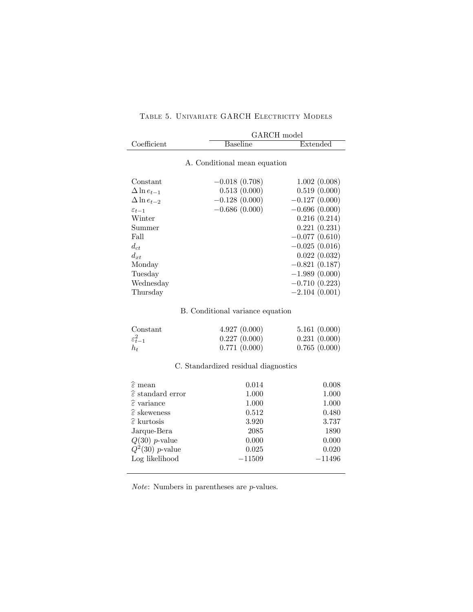|                      |                              | GARCH model     |  |  |  |  |
|----------------------|------------------------------|-----------------|--|--|--|--|
| Coefficient          | <b>Baseline</b>              | Extended        |  |  |  |  |
|                      | A. Conditional mean equation |                 |  |  |  |  |
| Constant             | $-0.018(0.708)$              | 1.002(0.008)    |  |  |  |  |
| $\Delta \ln e_{t-1}$ | 0.513(0.000)                 | 0.519(0.000)    |  |  |  |  |
| $\Delta \ln e_{t-2}$ | $-0.128(0.000)$              | $-0.127(0.000)$ |  |  |  |  |
| $\varepsilon_{t-1}$  | $-0.686(0.000)$              | $-0.696(0.000)$ |  |  |  |  |
| Winter               |                              | 0.216(0.214)    |  |  |  |  |
| Summer               |                              | 0.221(0.231)    |  |  |  |  |
| Fall                 |                              | $-0.077(0.610)$ |  |  |  |  |
| $d_{ct}$             |                              | $-0.025(0.016)$ |  |  |  |  |
| $d_{rt}$             |                              | 0.022(0.032)    |  |  |  |  |
| Monday               |                              | $-0.821(0.187)$ |  |  |  |  |
| Tuesday              |                              | $-1.989(0.000)$ |  |  |  |  |
| Wednesday            |                              | $-0.710(0.223)$ |  |  |  |  |
| Thursday             |                              | $-2.104(0.001)$ |  |  |  |  |

#### Table 5. Univariate GARCH Electricity Models

#### B. Conditional variance equation

| Constant              | 4.927(0.000) | 5.161(0.000) |
|-----------------------|--------------|--------------|
| $\varepsilon_{t-1}^2$ | 0.227(0.000) | 0.231(0.000) |
| $h_t$                 | 0.771(0.000) | 0.765(0.000) |

#### C. Standardized residual diagnostics

| $\widehat{\varepsilon}$ mean       | 0.014    | 0.008    |
|------------------------------------|----------|----------|
| $\hat{\varepsilon}$ standard error | 1.000    | 1.000    |
| $\widehat{\varepsilon}$ variance   | 1.000    | 1.000    |
| $\hat{\varepsilon}$ skeweness      | 0.512    | 0.480    |
| $\hat{\varepsilon}$ kurtosis       | 3.920    | 3.737    |
| Jarque-Bera                        | 2085     | 1890     |
| $Q(30)$ <i>p</i> -value            | 0.000    | 0.000    |
| $Q^2(30)$ <i>p</i> -value          | 0.025    | 0.020    |
| Log likelihood                     | $-11509$ | $-11496$ |
|                                    |          |          |

Note: Numbers in parentheses are p-values.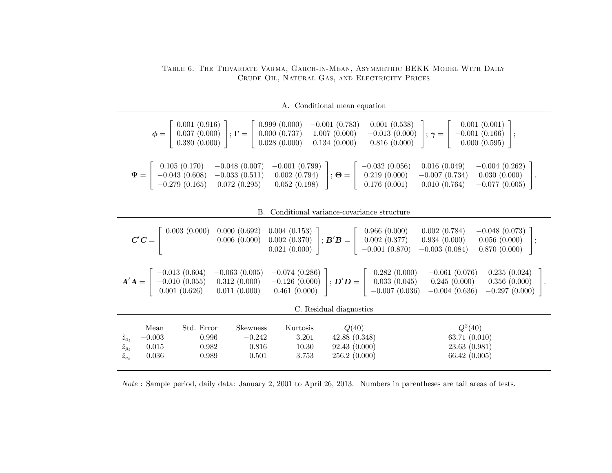Table 6. The Trivariate Varma, Garch-in-Mean, Asymmetric BEKK Model With Daily Crude Oil, Natural Gas, and Electricity Prices

|          | $0.001(0.916)$ ]<br>0.037(0.000)<br>$\phi =$<br>0.380(0.000) | $ \cdot \Gamma=$                                   | 0.999(0.000)<br>0.000(0.737)<br>0.028(0.000)    | $-0.001(0.783)$<br>1.007(0.000)<br>0.134(0.000) | 0.001(0.538)<br>$-0.013(0.000)$<br>0.816(0.000) | $ \cdot \gamma =$                               | 0.001(0.001)<br>$-0.001(0.166)$<br>0.000(0.595)    |  |
|----------|--------------------------------------------------------------|----------------------------------------------------|-------------------------------------------------|-------------------------------------------------|-------------------------------------------------|-------------------------------------------------|----------------------------------------------------|--|
| $\Psi =$ | 0.105(0.170)<br>$-0.043(0.608)$<br>$-0.279(0.165)$           | $-0.048(0.007)$<br>$-0.033(0.511)$<br>0.072(0.295) | $-0.001(0.799)$<br>0.002(0.794)<br>0.052(0.198) | $\theta =$                                      | $-0.032(0.056)$<br>0.219(0.000)<br>0.176(0.001) | 0.016(0.049)<br>$-0.007(0.734)$<br>0.010(0.764) | $-0.004(0.262)$<br>0.030(0.000)<br>$-0.077(0.005)$ |  |

B. Conditional variance-covariance structure

|                                                       |                                    |                                       |                                                                                                                                                                                        |                                     |                                                       | $\mathbf{C}'\mathbf{C} = \left[ \begin{array}{ccc} 0.003 \ (0.000) & 0.000 \ (0.692) & 0.004 \ (0.153) \\ 0.006 \ (0.000) & 0.002 \ (0.370) \\ 0.021 \ (0.000) & \end{array} \right];\, \mathbf{B}'\mathbf{B} = \left[ \begin{array}{ccc} 0.966 \ (0.000) & 0.002 \ (0.784) \\ 0.002 \ (0.377) & 0.934 \ (0.000) \\ -0.001 \ (0.870)$ | $-0.048(0.073)$<br>0.056(0.000)<br>$\vert$ ;<br>0.870(0.000) |
|-------------------------------------------------------|------------------------------------|---------------------------------------|----------------------------------------------------------------------------------------------------------------------------------------------------------------------------------------|-------------------------------------|-------------------------------------------------------|---------------------------------------------------------------------------------------------------------------------------------------------------------------------------------------------------------------------------------------------------------------------------------------------------------------------------------------|--------------------------------------------------------------|
|                                                       |                                    |                                       | $\mathbf{A}'\mathbf{A} = \begin{bmatrix} -0.013 & (0.604) & -0.063 & (0.005) \\ -0.010 & (0.055) & 0.312 & (0.000) \\ 0.001 & (0.626) & 0.011 & (0.000) \end{bmatrix}$<br>0.011(0.000) |                                     | C. Residual diagnostics                               | $\begin{bmatrix} -0.074 & (0.286) \\ -0.126 & (0.000) \\ 0.461 & (0.000) \end{bmatrix}$ ; $\mathbf{D}'\mathbf{D} = \begin{bmatrix} 0.282 & (0.000) & -0.061 & (0.076) \\ 0.033 & (0.045) & 0.245 & (0.000) \\ -0.007 & (0.036) & -0.004 & (0.636) \end{bmatrix}$                                                                      | 0.235(0.024)<br>0.356(0.000)<br>$-0.297(0.000)$              |
| $\hat{z}_{o_t}$<br>$\hat{z}_{g_t}$<br>$\hat{z}_{e_t}$ | Mean<br>$-0.003$<br>0.015<br>0.036 | Std. Error<br>0.996<br>0.982<br>0.989 | <b>Skewness</b><br>$-0.242$<br>0.816<br>0.501                                                                                                                                          | Kurtosis<br>3.201<br>10.30<br>3.753 | Q(40)<br>42.88(0.348)<br>92.43(0.000)<br>256.2(0.000) | $Q^2(40)$<br>63.71(0.010)<br>23.63(0.981)<br>66.42(0.005)                                                                                                                                                                                                                                                                             |                                                              |

Note : Sample period, daily data: January 2, 2001 to April 26, 2013. Numbers in parentheses are tail areas of tests.

A. Conditional mean equation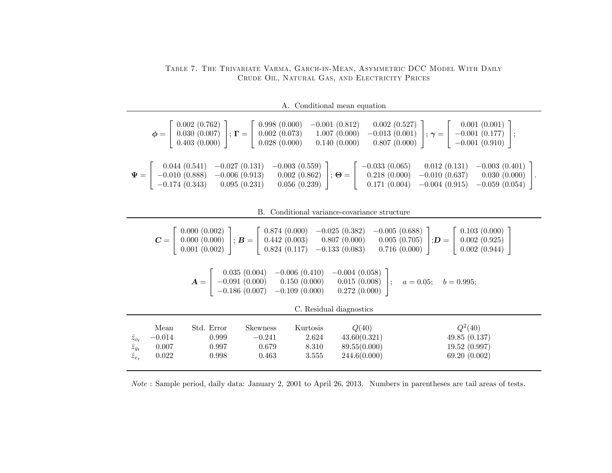Table 7. The Trivariate Varma, Garch-in-Mean, Asymmetric DCC Model With Daily Crude Oil, Natural Gas, and Electricity Prices

| $\phi =$ | 0.002(0.762)<br>0.030(0.007)<br>0.403(0.000)       | $ \cdot $ : $\Gamma =$                             | 0.998(0.000)<br>0.002(0.073)<br>0.028(0.000)    | $-0.001(0.812)$<br>1.007(0.000)<br>0.140(0.000) | 0.002(0.527)<br>$-0.013(0.001)$<br>0.807(0.000) | $: \gamma =$                                       | $0.001(0.001)$ ]<br>$-0.001(0.177)$ ;<br>$-0.001(0.910)$ |  |
|----------|----------------------------------------------------|----------------------------------------------------|-------------------------------------------------|-------------------------------------------------|-------------------------------------------------|----------------------------------------------------|----------------------------------------------------------|--|
| $\Psi =$ | 0.044(0.541)<br>$-0.010(0.888)$<br>$-0.174(0.343)$ | $-0.027(0.131)$<br>$-0.006(0.913)$<br>0.095(0.231) | $-0.003(0.559)$<br>0.002(0.862)<br>0.056(0.239) | $\theta =$                                      | $-0.033(0.065)$<br>0.218(0.000)<br>0.171(0.004) | 0.012(0.131)<br>$-0.010(0.637)$<br>$-0.004(0.915)$ | $-0.003(0.401)$<br>0.030(0.000)<br>$-0.059(0.054)$       |  |

A. Conditional mean equation

B. Conditional variance-covariance structure

|                                                         |                                    |                                       |                                               |                                     |                                                       | $\boldsymbol{C} = \left[\begin{array}{c} 0.000\ (0.002) \\ 0.000\ (0.000) \\ 0.001\ (0.002) \end{array}\right];\, \boldsymbol{B} = \left[\begin{array}{ccc} 0.874\ (0.000)\ & -0.025\ (0.382)\ & -0.005\ (0.688)\ & 0.807\ (0.000)\ & 0.005\ (0.705)\ & 0.716\ (0.000)\ & 0.716\ (0.000)\ \end{array}\right];\boldsymbol{D} = \left[\begin{array}{c} 0.103\ ($<br>$-0.005(0.688)$ ] |
|---------------------------------------------------------|------------------------------------|---------------------------------------|-----------------------------------------------|-------------------------------------|-------------------------------------------------------|-------------------------------------------------------------------------------------------------------------------------------------------------------------------------------------------------------------------------------------------------------------------------------------------------------------------------------------------------------------------------------------|
|                                                         |                                    |                                       |                                               |                                     | C. Residual diagnostics                               | $\mathbf{A} = \left[\begin{array}{ccc} 0.035 \ (0.004) & -0.006 \ (0.410) & -0.004 \ (0.058) \\ -0.091 \ (0.000) & 0.150 \ (0.000) & 0.015 \ (0.008) \\ -0.186 \ (0.007) & -0.109 \ (0.000) & 0.272 \ (0.000) \end{array}\right]; \quad a = 0.05; \quad b = 0.995;$                                                                                                                 |
| $\hat{z}_{o_t}$<br>$\hat{z}_{g_t}$<br>$\hat{z}_{e_{t}}$ | Mean<br>$-0.014$<br>0.007<br>0.022 | Std. Error<br>0.999<br>0.997<br>0.998 | <b>Skewness</b><br>$-0.241$<br>0.679<br>0.463 | Kurtosis<br>2.624<br>8.310<br>3.555 | Q(40)<br>43.60(0.321)<br>89.55(0.000)<br>244.6(0.000) | $Q^2(40)$<br>49.85(0.137)<br>19.52(0.997)<br>69.20 (0.002)                                                                                                                                                                                                                                                                                                                          |

Note : Sample period, daily data: January 2, 2001 to April 26, 2013. Numbers in parentheses are tail areas of tests.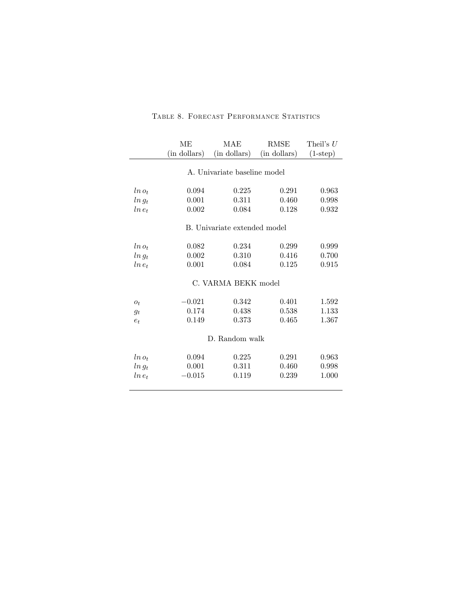|                   | MЕ           | MAE                          | <b>RMSE</b>  | Theil's $U$ |
|-------------------|--------------|------------------------------|--------------|-------------|
|                   | (in dollars) | (in dollars)                 | (in dollars) | $(1-step)$  |
|                   |              | A. Univariate baseline model |              |             |
|                   |              |                              |              |             |
| ln o <sub>t</sub> | 0.094        | 0.225                        | 0.291        | 0.963       |
| $\ln g_t$         | 0.001        | 0.311                        | 0.460        | 0.998       |
| $\ln e_t$         | 0.002        | 0.084                        | 0.128        | 0.932       |
|                   |              | B. Univariate extended model |              |             |
| $ln o_t$          | 0.082        | 0.234                        | 0.299        | 0.999       |
| $\ln g_t$         | 0.002        | 0.310                        | 0.416        | 0.700       |
| $\ln e_t$         | 0.001        | 0.084                        | 0.125        | 0.915       |
|                   |              | C. VARMA BEKK model          |              |             |
| $O_t$             | $-0.021$     | 0.342                        | 0.401        | 1.592       |
| $g_t$             | 0.174        | 0.438                        | 0.538        | 1.133       |
| $e_t$             | 0.149        | 0.373                        | 0.465        | 1.367       |
|                   |              | D. Random walk               |              |             |
| $ln o_t$          | 0.094        | 0.225                        | 0.291        | 0.963       |
| $\ln q_t$         | 0.001        | 0.311                        | 0.460        | 0.998       |
| $\ln e_t$         | $-0.015$     | 0.119                        | 0.239        | 1.000       |
|                   |              |                              |              |             |

#### Table 8. Forecast Performance Statistics